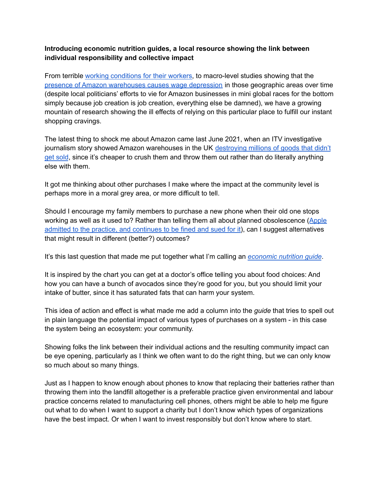## **Introducing economic nutrition guides, a local resource showing the link between individual responsibility and collective impact**

From terrible working [conditions](https://www.theguardian.com/technology/2020/feb/05/amazon-workers-protest-unsafe-grueling-conditions-warehouse) for their workers, to macro-level studies showing that the presence of Amazon [warehouses](https://www.theatlantic.com/business/archive/2018/02/amazon-warehouses-poor-cities/552020/) causes wage depression in those geographic areas over time (despite local politicians' efforts to vie for Amazon businesses in mini global races for the bottom simply because job creation is job creation, everything else be damned), we have a growing mountain of research showing the ill effects of relying on this particular place to fulfill our instant shopping cravings.

The latest thing to shock me about Amazon came last June 2021, when an ITV investigative journalism story showed Amazon warehouses in the UK [destroying](https://www.itv.com/news/2021-06-21/amazon-destroying-millions-of-items-of-unsold-stock-in-one-of-its-uk-warehouses-every-year-itv-news-investigation-finds) millions of goods that didn't get [sold](https://www.itv.com/news/2021-06-21/amazon-destroying-millions-of-items-of-unsold-stock-in-one-of-its-uk-warehouses-every-year-itv-news-investigation-finds), since it's cheaper to crush them and throw them out rather than do literally anything else with them.

It got me thinking about other purchases I make where the impact at the community level is perhaps more in a moral grey area, or more difficult to tell.

Should I encourage my family members to purchase a new phone when their old one stops working as well as it used to? Rather than telling them all about planned obsolescence ([Apple](https://9to5mac.com/2021/03/01/apple-lawsuit-portugal-planned-obsolescence/) admitted to the practice, and [continues](https://9to5mac.com/2021/03/01/apple-lawsuit-portugal-planned-obsolescence/) to be fined and sued for it), can I suggest alternatives that might result in different (better?) outcomes?

It's this last question that made me put together what I'm calling an *[economic](http://www.projectproject.ca/economic-nutrition-guide/) nutrition guide*.

It is inspired by the chart you can get at a doctor's office telling you about food choices: And how you can have a bunch of avocados since they're good for you, but you should limit your intake of butter, since it has saturated fats that can harm your system.

This idea of action and effect is what made me add a column into the *guide* that tries to spell out in plain language the potential impact of various types of purchases on a system - in this case the system being an ecosystem: your community.

Showing folks the link between their individual actions and the resulting community impact can be eye opening, particularly as I think we often want to do the right thing, but we can only know so much about so many things.

Just as I happen to know enough about phones to know that replacing their batteries rather than throwing them into the landfill altogether is a preferable practice given environmental and labour practice concerns related to manufacturing cell phones, others might be able to help me figure out what to do when I want to support a charity but I don't know which types of organizations have the best impact. Or when I want to invest responsibly but don't know where to start.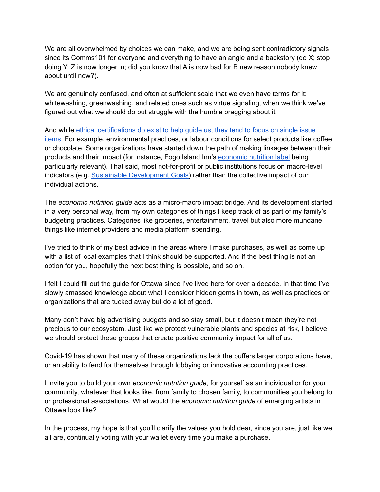We are all overwhelmed by choices we can make, and we are being sent contradictory signals since its Comms101 for everyone and everything to have an angle and a backstory (do X; stop doing Y; Z is now longer in; did you know that A is now bad for B new reason nobody knew about until now?).

We are genuinely confused, and often at sufficient scale that we even have terms for it: whitewashing, greenwashing, and related ones such as virtue signaling, when we think we've figured out what we should do but struggle with the humble bragging about it.

And while ethical [certifications](https://ethical.net/guide/sustainability-certifications-which-can-you-trust/) do exist to help quide us, they tend to focus on single issue [items](https://ethical.net/guide/sustainability-certifications-which-can-you-trust/). For example, environmental practices, or labour conditions for select products like coffee or chocolate. Some organizations have started down the path of making linkages between their products and their impact (for instance, Fogo Island Inn's [economic](https://woodshopfogoisland.ca/pages/economic-nutrition) nutrition label being particularly relevant). That said, most not-for-profit or public institutions focus on macro-level indicators (e.g. Sustainable [Development](https://sdgs.un.org/goals) Goals) rather than the collective impact of our individual actions.

The *economic nutrition guide* acts as a micro-macro impact bridge. And its development started in a very personal way, from my own categories of things I keep track of as part of my family's budgeting practices. Categories like groceries, entertainment, travel but also more mundane things like internet providers and media platform spending.

I've tried to think of my best advice in the areas where I make purchases, as well as come up with a list of local examples that I think should be supported. And if the best thing is not an option for you, hopefully the next best thing is possible, and so on.

I felt I could fill out the guide for Ottawa since I've lived here for over a decade. In that time I've slowly amassed knowledge about what I consider hidden gems in town, as well as practices or organizations that are tucked away but do a lot of good.

Many don't have big advertising budgets and so stay small, but it doesn't mean they're not precious to our ecosystem. Just like we protect vulnerable plants and species at risk, I believe we should protect these groups that create positive community impact for all of us.

Covid-19 has shown that many of these organizations lack the buffers larger corporations have, or an ability to fend for themselves through lobbying or innovative accounting practices.

I invite you to build your own *economic nutrition guide*, for yourself as an individual or for your community, whatever that looks like, from family to chosen family, to communities you belong to or professional associations. What would the *economic nutrition guide* of emerging artists in Ottawa look like?

In the process, my hope is that you'll clarify the values you hold dear, since you are, just like we all are, continually voting with your wallet every time you make a purchase.